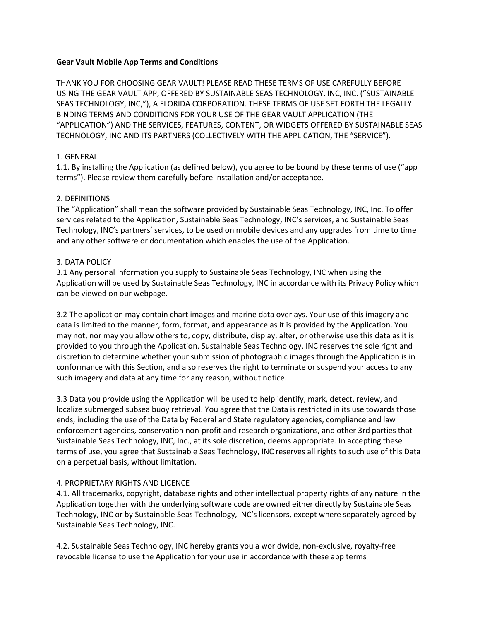## Gear Vault Mobile App Terms and Conditions

THANK YOU FOR CHOOSING GEAR VAULT! PLEASE READ THESE TERMS OF USE CAREFULLY BEFORE USING THE GEAR VAULT APP, OFFERED BY SUSTAINABLE SEAS TECHNOLOGY, INC, INC. ("SUSTAINABLE SEAS TECHNOLOGY, INC,"), A FLORIDA CORPORATION. THESE TERMS OF USE SET FORTH THE LEGALLY BINDING TERMS AND CONDITIONS FOR YOUR USE OF THE GEAR VAULT APPLICATION (THE "APPLICATION") AND THE SERVICES, FEATURES, CONTENT, OR WIDGETS OFFERED BY SUSTAINABLE SEAS TECHNOLOGY, INC AND ITS PARTNERS (COLLECTIVELY WITH THE APPLICATION, THE "SERVICE").

# 1. GENERAL

1.1. By installing the Application (as defined below), you agree to be bound by these terms of use ("app terms"). Please review them carefully before installation and/or acceptance.

# 2. DEFINITIONS

The "Application" shall mean the software provided by Sustainable Seas Technology, INC, Inc. To offer services related to the Application, Sustainable Seas Technology, INC's services, and Sustainable Seas Technology, INC's partners' services, to be used on mobile devices and any upgrades from time to time and any other software or documentation which enables the use of the Application.

# 3. DATA POLICY

3.1 Any personal information you supply to Sustainable Seas Technology, INC when using the Application will be used by Sustainable Seas Technology, INC in accordance with its Privacy Policy which can be viewed on our webpage.

3.2 The application may contain chart images and marine data overlays. Your use of this imagery and data is limited to the manner, form, format, and appearance as it is provided by the Application. You may not, nor may you allow others to, copy, distribute, display, alter, or otherwise use this data as it is provided to you through the Application. Sustainable Seas Technology, INC reserves the sole right and discretion to determine whether your submission of photographic images through the Application is in conformance with this Section, and also reserves the right to terminate or suspend your access to any such imagery and data at any time for any reason, without notice.

3.3 Data you provide using the Application will be used to help identify, mark, detect, review, and localize submerged subsea buoy retrieval. You agree that the Data is restricted in its use towards those ends, including the use of the Data by Federal and State regulatory agencies, compliance and law enforcement agencies, conservation non-profit and research organizations, and other 3rd parties that Sustainable Seas Technology, INC, Inc., at its sole discretion, deems appropriate. In accepting these terms of use, you agree that Sustainable Seas Technology, INC reserves all rights to such use of this Data on a perpetual basis, without limitation.

# 4. PROPRIETARY RIGHTS AND LICENCE

4.1. All trademarks, copyright, database rights and other intellectual property rights of any nature in the Application together with the underlying software code are owned either directly by Sustainable Seas Technology, INC or by Sustainable Seas Technology, INC's licensors, except where separately agreed by Sustainable Seas Technology, INC.

4.2. Sustainable Seas Technology, INC hereby grants you a worldwide, non-exclusive, royalty-free revocable license to use the Application for your use in accordance with these app terms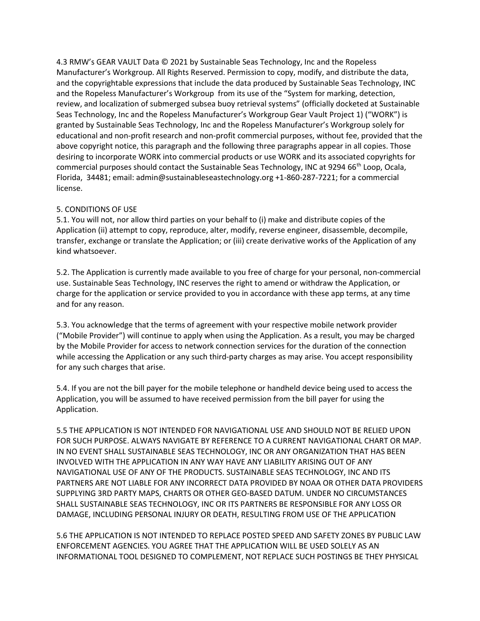4.3 RMW's GEAR VAULT Data © 2021 by Sustainable Seas Technology, Inc and the Ropeless Manufacturer's Workgroup. All Rights Reserved. Permission to copy, modify, and distribute the data, and the copyrightable expressions that include the data produced by Sustainable Seas Technology, INC and the Ropeless Manufacturer's Workgroup from its use of the "System for marking, detection, review, and localization of submerged subsea buoy retrieval systems" (officially docketed at Sustainable Seas Technology, Inc and the Ropeless Manufacturer's Workgroup Gear Vault Project 1) ("WORK") is granted by Sustainable Seas Technology, Inc and the Ropeless Manufacturer's Workgroup solely for educational and non-profit research and non-profit commercial purposes, without fee, provided that the above copyright notice, this paragraph and the following three paragraphs appear in all copies. Those desiring to incorporate WORK into commercial products or use WORK and its associated copyrights for commercial purposes should contact the Sustainable Seas Technology, INC at 9294 66<sup>th</sup> Loop, Ocala, Florida, 34481; email: admin@sustainableseastechnology.org +1-860-287-7221; for a commercial license.

# 5. CONDITIONS OF USE

5.1. You will not, nor allow third parties on your behalf to (i) make and distribute copies of the Application (ii) attempt to copy, reproduce, alter, modify, reverse engineer, disassemble, decompile, transfer, exchange or translate the Application; or (iii) create derivative works of the Application of any kind whatsoever.

5.2. The Application is currently made available to you free of charge for your personal, non-commercial use. Sustainable Seas Technology, INC reserves the right to amend or withdraw the Application, or charge for the application or service provided to you in accordance with these app terms, at any time and for any reason.

5.3. You acknowledge that the terms of agreement with your respective mobile network provider ("Mobile Provider") will continue to apply when using the Application. As a result, you may be charged by the Mobile Provider for access to network connection services for the duration of the connection while accessing the Application or any such third-party charges as may arise. You accept responsibility for any such charges that arise.

5.4. If you are not the bill payer for the mobile telephone or handheld device being used to access the Application, you will be assumed to have received permission from the bill payer for using the Application.

5.5 THE APPLICATION IS NOT INTENDED FOR NAVIGATIONAL USE AND SHOULD NOT BE RELIED UPON FOR SUCH PURPOSE. ALWAYS NAVIGATE BY REFERENCE TO A CURRENT NAVIGATIONAL CHART OR MAP. IN NO EVENT SHALL SUSTAINABLE SEAS TECHNOLOGY, INC OR ANY ORGANIZATION THAT HAS BEEN INVOLVED WITH THE APPLICATION IN ANY WAY HAVE ANY LIABILITY ARISING OUT OF ANY NAVIGATIONAL USE OF ANY OF THE PRODUCTS. SUSTAINABLE SEAS TECHNOLOGY, INC AND ITS PARTNERS ARE NOT LIABLE FOR ANY INCORRECT DATA PROVIDED BY NOAA OR OTHER DATA PROVIDERS SUPPLYING 3RD PARTY MAPS, CHARTS OR OTHER GEO-BASED DATUM. UNDER NO CIRCUMSTANCES SHALL SUSTAINABLE SEAS TECHNOLOGY, INC OR ITS PARTNERS BE RESPONSIBLE FOR ANY LOSS OR DAMAGE, INCLUDING PERSONAL INJURY OR DEATH, RESULTING FROM USE OF THE APPLICATION

5.6 THE APPLICATION IS NOT INTENDED TO REPLACE POSTED SPEED AND SAFETY ZONES BY PUBLIC LAW ENFORCEMENT AGENCIES. YOU AGREE THAT THE APPLICATION WILL BE USED SOLELY AS AN INFORMATIONAL TOOL DESIGNED TO COMPLEMENT, NOT REPLACE SUCH POSTINGS BE THEY PHYSICAL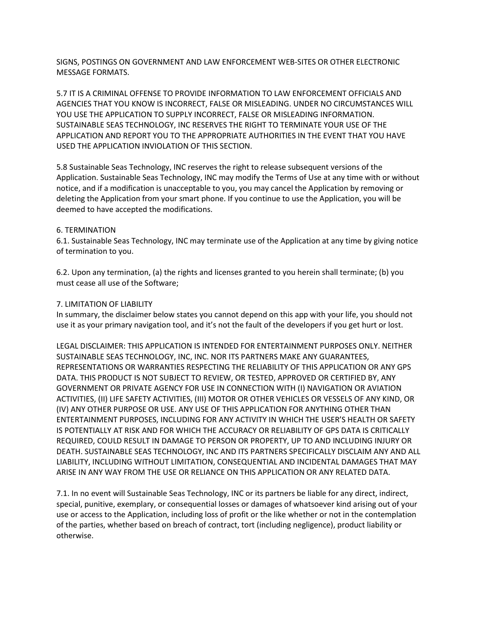SIGNS, POSTINGS ON GOVERNMENT AND LAW ENFORCEMENT WEB-SITES OR OTHER ELECTRONIC MESSAGE FORMATS.

5.7 IT IS A CRIMINAL OFFENSE TO PROVIDE INFORMATION TO LAW ENFORCEMENT OFFICIALS AND AGENCIES THAT YOU KNOW IS INCORRECT, FALSE OR MISLEADING. UNDER NO CIRCUMSTANCES WILL YOU USE THE APPLICATION TO SUPPLY INCORRECT, FALSE OR MISLEADING INFORMATION. SUSTAINABLE SEAS TECHNOLOGY, INC RESERVES THE RIGHT TO TERMINATE YOUR USE OF THE APPLICATION AND REPORT YOU TO THE APPROPRIATE AUTHORITIES IN THE EVENT THAT YOU HAVE USED THE APPLICATION INVIOLATION OF THIS SECTION.

5.8 Sustainable Seas Technology, INC reserves the right to release subsequent versions of the Application. Sustainable Seas Technology, INC may modify the Terms of Use at any time with or without notice, and if a modification is unacceptable to you, you may cancel the Application by removing or deleting the Application from your smart phone. If you continue to use the Application, you will be deemed to have accepted the modifications.

# 6. TERMINATION

6.1. Sustainable Seas Technology, INC may terminate use of the Application at any time by giving notice of termination to you.

6.2. Upon any termination, (a) the rights and licenses granted to you herein shall terminate; (b) you must cease all use of the Software;

# 7. LIMITATION OF LIABILITY

In summary, the disclaimer below states you cannot depend on this app with your life, you should not use it as your primary navigation tool, and it's not the fault of the developers if you get hurt or lost.

LEGAL DISCLAIMER: THIS APPLICATION IS INTENDED FOR ENTERTAINMENT PURPOSES ONLY. NEITHER SUSTAINABLE SEAS TECHNOLOGY, INC, INC. NOR ITS PARTNERS MAKE ANY GUARANTEES, REPRESENTATIONS OR WARRANTIES RESPECTING THE RELIABILITY OF THIS APPLICATION OR ANY GPS DATA. THIS PRODUCT IS NOT SUBJECT TO REVIEW, OR TESTED, APPROVED OR CERTIFIED BY, ANY GOVERNMENT OR PRIVATE AGENCY FOR USE IN CONNECTION WITH (I) NAVIGATION OR AVIATION ACTIVITIES, (II) LIFE SAFETY ACTIVITIES, (III) MOTOR OR OTHER VEHICLES OR VESSELS OF ANY KIND, OR (IV) ANY OTHER PURPOSE OR USE. ANY USE OF THIS APPLICATION FOR ANYTHING OTHER THAN ENTERTAINMENT PURPOSES, INCLUDING FOR ANY ACTIVITY IN WHICH THE USER'S HEALTH OR SAFETY IS POTENTIALLY AT RISK AND FOR WHICH THE ACCURACY OR RELIABILITY OF GPS DATA IS CRITICALLY REQUIRED, COULD RESULT IN DAMAGE TO PERSON OR PROPERTY, UP TO AND INCLUDING INJURY OR DEATH. SUSTAINABLE SEAS TECHNOLOGY, INC AND ITS PARTNERS SPECIFICALLY DISCLAIM ANY AND ALL LIABILITY, INCLUDING WITHOUT LIMITATION, CONSEQUENTIAL AND INCIDENTAL DAMAGES THAT MAY ARISE IN ANY WAY FROM THE USE OR RELIANCE ON THIS APPLICATION OR ANY RELATED DATA.

7.1. In no event will Sustainable Seas Technology, INC or its partners be liable for any direct, indirect, special, punitive, exemplary, or consequential losses or damages of whatsoever kind arising out of your use or access to the Application, including loss of profit or the like whether or not in the contemplation of the parties, whether based on breach of contract, tort (including negligence), product liability or otherwise.